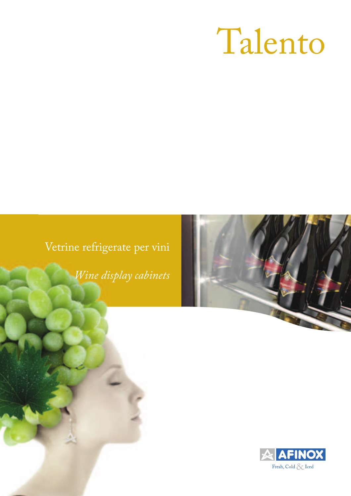# Talento

### Vetrine refrigerate per vini

*Wine display cabinets*



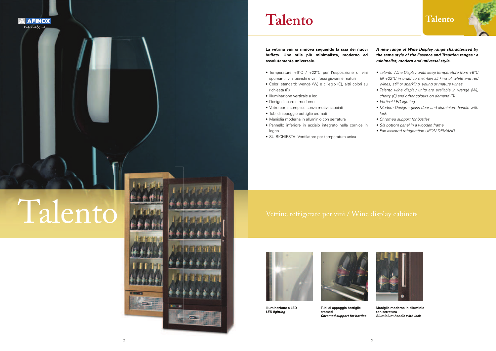

#### **Talento**

**La vetrina vini si rinnova seguendo la scia dei nuovi buffets. Uno stile più minimalista, moderno ed assolutamente universale.** 

- Temperature +6°C / +22°C per l'esposizione di vini spumanti, vini bianchi e vini rossi giovani e maturi
- Colori standard: wengé (W) e ciliegio (C), altri colori su richiesta (R)
- Illuminazione verticale a led
- Design lineare e moderno
- Vetro porta semplice senza motivi sabbiati
- Tubi di appoggio bottiglie cromati
- Maniglia moderna in alluminio con serratura
- Pannello inferiore in acciaio integrato nella cornice in legno
- SU RICHIESTA: Ventilatore per temperatura unica

*A new range of Wine Display range characterized by the same style of the Essence and Tradition ranges : a minimalist, modern and universal style.* 

- Talento Wine Display units keep temperature from +6°C till +22°C in order to maintain all kind of white and red wines, still or sparkling, young or mature wines.
- Talento wine display units are available in wengé (W), cherry (C) and other colours on demand (R)
- Vertical LED lighting
- Modern Design glass door and aluminium handle with lock
- Chromed support for bottles
- S/s bottom panel in a wooden frame
- Fan assisted refrigeration UPON DEMAND

## Talento

**A AFINOX** –<br>Fresh, Cold & Icec





**Illuminazione a LED***LED lighting*



**Tubi di appoggio bottiglie cromati***Chromed support for bottles*



**Maniglia moderna in alluminio con serratura***Aluminium handle with lock*

2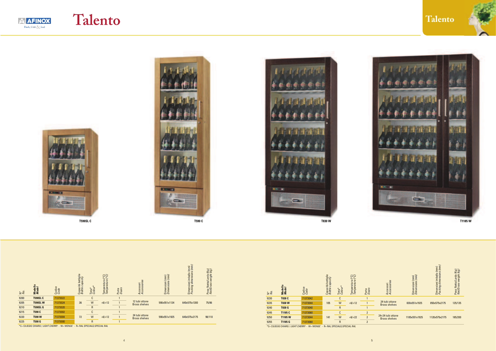

#### **Talento**





**T590SL C**











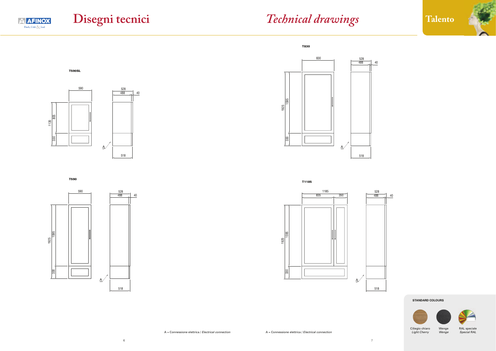### **Disegni tecnici** *Technical drawings*





T590

**AFINOX** Fresh, Cold  $\sqrt{\ }$  Iced



T1185



**STANDARD COLOURS**



A = Connessione elettrica / Electrical connection

A = Connessione elettrica / Electrical connection